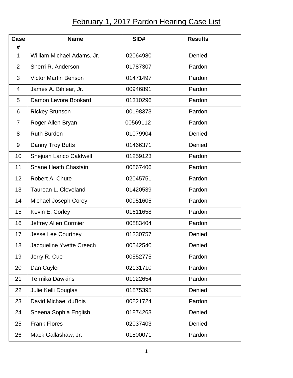## **February 1, 2017 Pardon Hearing Case List**

| Case<br>#      | <b>Name</b>                 | SID#     | <b>Results</b> |
|----------------|-----------------------------|----------|----------------|
| $\mathbf{1}$   | William Michael Adams, Jr.  | 02064980 | Denied         |
| 2              | Sherri R. Anderson          | 01787307 | Pardon         |
| 3              | <b>Victor Martin Benson</b> | 01471497 | Pardon         |
| 4              | James A. Bihlear, Jr.       | 00946891 | Pardon         |
| 5              | Damon Levore Bookard        | 01310296 | Pardon         |
| 6              | <b>Rickey Brunson</b>       | 00198373 | Pardon         |
| $\overline{7}$ | Roger Allen Bryan           | 00569112 | Pardon         |
| 8              | <b>Ruth Burden</b>          | 01079904 | Denied         |
| 9              | Danny Troy Butts            | 01466371 | Denied         |
| 10             | Shejuan Larico Caldwell     | 01259123 | Pardon         |
| 11             | <b>Shane Heath Chastain</b> | 00867406 | Pardon         |
| 12             | Robert A. Chute             | 02045751 | Pardon         |
| 13             | Taurean L. Cleveland        | 01420539 | Pardon         |
| 14             | Michael Joseph Corey        | 00951605 | Pardon         |
| 15             | Kevin E. Corley             | 01611658 | Pardon         |
| 16             | Jeffrey Allen Cormier       | 00883404 | Pardon         |
| 17             | Jesse Lee Courtney          | 01230757 | Denied         |
| 18             | Jacqueline Yvette Creech    | 00542540 | Denied         |
| 19             | Jerry R. Cue                | 00552775 | Pardon         |
| 20             | Dan Cuyler                  | 02131710 | Pardon         |
| 21             | <b>Termika Dawkins</b>      | 01122654 | Pardon         |
| 22             | Julie Kelli Douglas         | 01875395 | Denied         |
| 23             | David Michael duBois        | 00821724 | Pardon         |
| 24             | Sheena Sophia English       | 01874263 | Denied         |
| 25             | <b>Frank Flores</b>         | 02037403 | Denied         |
| 26             | Mack Gallashaw, Jr.         | 01800071 | Pardon         |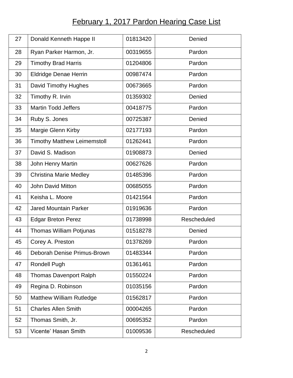## **February 1, 2017 Pardon Hearing Case List**

| 27 | Donald Kenneth Happe II            | 01813420 | Denied      |
|----|------------------------------------|----------|-------------|
| 28 | Ryan Parker Harmon, Jr.            | 00319655 | Pardon      |
| 29 | <b>Timothy Brad Harris</b>         | 01204806 | Pardon      |
| 30 | <b>Eldridge Denae Herrin</b>       | 00987474 | Pardon      |
| 31 | David Timothy Hughes               | 00673665 | Pardon      |
| 32 | Timothy R. Irvin                   | 01359302 | Denied      |
| 33 | <b>Martin Todd Jeffers</b>         | 00418775 | Pardon      |
| 34 | Ruby S. Jones                      | 00725387 | Denied      |
| 35 | Margie Glenn Kirby                 | 02177193 | Pardon      |
| 36 | <b>Timothy Matthew Leimemstoll</b> | 01262441 | Pardon      |
| 37 | David S. Madison                   | 01908873 | Denied      |
| 38 | John Henry Martin                  | 00627626 | Pardon      |
| 39 | <b>Christina Marie Medley</b>      | 01485396 | Pardon      |
| 40 | <b>John David Mitton</b>           | 00685055 | Pardon      |
| 41 | Keisha L. Moore                    | 01421564 | Pardon      |
| 42 | <b>Jared Mountain Parker</b>       | 01919636 | Pardon      |
| 43 | <b>Edgar Breton Perez</b>          | 01738998 | Rescheduled |
| 44 | <b>Thomas William Potjunas</b>     | 01518278 | Denied      |
| 45 | Corey A. Preston                   | 01378269 | Pardon      |
| 46 | Deborah Denise Primus-Brown        | 01483344 | Pardon      |
| 47 | <b>Rondell Pugh</b>                | 01361461 | Pardon      |
| 48 | <b>Thomas Davenport Ralph</b>      | 01550224 | Pardon      |
| 49 | Regina D. Robinson                 | 01035156 | Pardon      |
| 50 | <b>Matthew William Rutledge</b>    | 01562817 | Pardon      |
| 51 | <b>Charles Allen Smith</b>         | 00004265 | Pardon      |
| 52 | Thomas Smith, Jr.                  | 00695352 | Pardon      |
| 53 | Vicente' Hasan Smith               | 01009536 | Rescheduled |